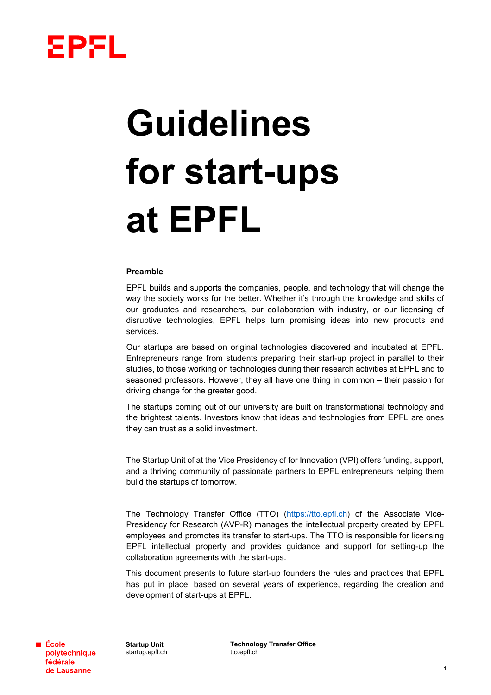

# **Guidelines for start-ups at EPFL**

# **Preamble**

EPFL builds and supports the companies, people, and technology that will change the way the society works for the better. Whether it's through the knowledge and skills of our graduates and researchers, our collaboration with industry, or our licensing of disruptive technologies, EPFL helps turn promising ideas into new products and services.

Our startups are based on original technologies discovered and incubated at EPFL. Entrepreneurs range from students preparing their start-up project in parallel to their studies, to those working on technologies during their research activities at EPFL and to seasoned professors. However, they all have one thing in common – their passion for driving change for the greater good.

The startups coming out of our university are built on transformational technology and the brightest talents. Investors know that ideas and technologies from EPFL are ones they can trust as a solid investment.

The Startup Unit of at the Vice Presidency of for Innovation (VPI) offers funding, support, and a thriving community of passionate partners to EPFL entrepreneurs helping them build the startups of tomorrow.

The Technology Transfer Office (TTO) [\(https://tto.epfl.ch\)](https://tto.epfl.ch/) of the Associate Vice-Presidency for Research (AVP-R) manages the intellectual property created by EPFL employees and promotes its transfer to start-ups. The TTO is responsible for licensing EPFL intellectual property and provides guidance and support for setting-up the collaboration agreements with the start-ups.

This document presents to future start-up founders the rules and practices that EPFL has put in place, based on several years of experience, regarding the creation and development of start-ups at EPFL.

**■ École** polytechnique fédérale de Lausanne

**Startup Unit** startup.epfl.ch

**Technology Transfer Office** tto.epfl.ch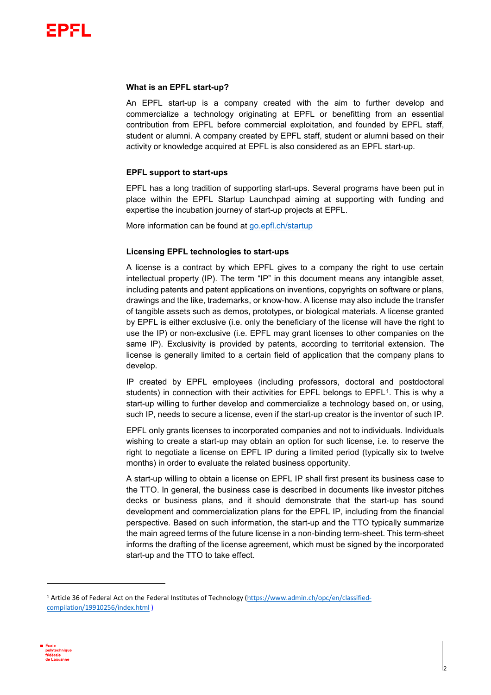

### **What is an EPFL start-up?**

An EPFL start-up is a company created with the aim to further develop and commercialize a technology originating at EPFL or benefitting from an essential contribution from EPFL before commercial exploitation, and founded by EPFL staff, student or alumni. A company created by EPFL staff, student or alumni based on their activity or knowledge acquired at EPFL is also considered as an EPFL start-up.

# **EPFL support to start-ups**

EPFL has a long tradition of supporting start-ups. Several programs have been put in place within the EPFL Startup Launchpad aiming at supporting with funding and expertise the incubation journey of start-up projects at EPFL.

More information can be found at [go.epfl.ch/startup](https://www.epfl.ch/innovation/startup/)

# **Licensing EPFL technologies to start-ups**

A license is a contract by which EPFL gives to a company the right to use certain intellectual property (IP). The term "IP" in this document means any intangible asset, including patents and patent applications on inventions, copyrights on software or plans, drawings and the like, trademarks, or know-how. A license may also include the transfer of tangible assets such as demos, prototypes, or biological materials. A license granted by EPFL is either exclusive (i.e. only the beneficiary of the license will have the right to use the IP) or non-exclusive (i.e. EPFL may grant licenses to other companies on the same IP). Exclusivity is provided by patents, according to territorial extension. The license is generally limited to a certain field of application that the company plans to develop.

IP created by EPFL employees (including professors, doctoral and postdoctoral students) in connection with their activities for EPFL belongs to EPFL<sup>[1](#page-1-0)</sup>. This is why a start-up willing to further develop and commercialize a technology based on, or using, such IP, needs to secure a license, even if the start-up creator is the inventor of such IP.

EPFL only grants licenses to incorporated companies and not to individuals. Individuals wishing to create a start-up may obtain an option for such license, i.e. to reserve the right to negotiate a license on EPFL IP during a limited period (typically six to twelve months) in order to evaluate the related business opportunity.

A start-up willing to obtain a license on EPFL IP shall first present its business case to the TTO. In general, the business case is described in documents like investor pitches decks or business plans, and it should demonstrate that the start-up has sound development and commercialization plans for the EPFL IP, including from the financial perspective. Based on such information, the start-up and the TTO typically summarize the main agreed terms of the future license in a non-binding term-sheet. This term-sheet informs the drafting of the license agreement, which must be signed by the incorporated start-up and the TTO to take effect.

<span id="page-1-0"></span><sup>1</sup> Article 36 of Federal Act on the Federal Institutes of Technology [\(https://www.admin.ch/opc/en/classified](https://www.admin.ch/opc/en/classified-compilation/19910256/index.html)[compilation/19910256/index.html](https://www.admin.ch/opc/en/classified-compilation/19910256/index.html) )



 $\overline{a}$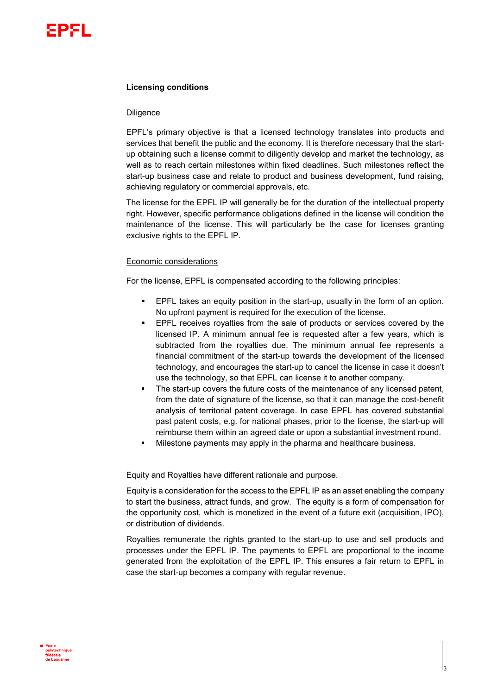

# **Licensing conditions**

### **Diligence**

EPFL's primary objective is that a licensed technology translates into products and services that benefit the public and the economy. It is therefore necessary that the startup obtaining such a license commit to diligently develop and market the technology, as well as to reach certain milestones within fixed deadlines. Such milestones reflect the start-up business case and relate to product and business development, fund raising, achieving regulatory or commercial approvals, etc.

The license for the EPFL IP will generally be for the duration of the intellectual property right. However, specific performance obligations defined in the license will condition the maintenance of the license. This will particularly be the case for licenses granting exclusive rights to the EPFL IP.

# Economic considerations

For the license, EPFL is compensated according to the following principles:

- EPFL takes an equity position in the start-up, usually in the form of an option. No upfront payment is required for the execution of the license.
- EPFL receives royalties from the sale of products or services covered by the licensed IP. A minimum annual fee is requested after a few years, which is subtracted from the royalties due. The minimum annual fee represents a financial commitment of the start-up towards the development of the licensed technology, and encourages the start-up to cancel the license in case it doesn't use the technology, so that EPFL can license it to another company.
- The start-up covers the future costs of the maintenance of any licensed patent, from the date of signature of the license, so that it can manage the cost-benefit analysis of territorial patent coverage. In case EPFL has covered substantial past patent costs, e.g. for national phases, prior to the license, the start-up will reimburse them within an agreed date or upon a substantial investment round.
- Milestone payments may apply in the pharma and healthcare business.

Equity and Royalties have different rationale and purpose.

Equity is a consideration for the access to the EPFL IP as an asset enabling the company to start the business, attract funds, and grow. The equity is a form of compensation for the opportunity cost, which is monetized in the event of a future exit (acquisition, IPO), or distribution of dividends.

Royalties remunerate the rights granted to the start-up to use and sell products and processes under the EPFL IP. The payments to EPFL are proportional to the income generated from the exploitation of the EPFL IP. This ensures a fair return to EPFL in case the start-up becomes a company with regular revenue.

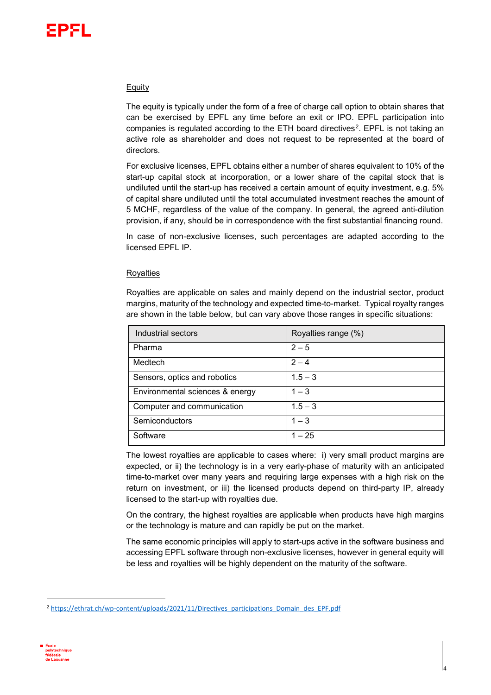# Equity

The equity is typically under the form of a free of charge call option to obtain shares that can be exercised by EPFL any time before an exit or IPO. EPFL participation into companies is regulated according to the ETH board directives<sup>2</sup>. EPFL is not taking an active role as shareholder and does not request to be represented at the board of directors.

For exclusive licenses, EPFL obtains either a number of shares equivalent to 10% of the start-up capital stock at incorporation, or a lower share of the capital stock that is undiluted until the start-up has received a certain amount of equity investment, e.g. 5% of capital share undiluted until the total accumulated investment reaches the amount of 5 MCHF, regardless of the value of the company. In general, the agreed anti-dilution provision, if any, should be in correspondence with the first substantial financing round.

In case of non-exclusive licenses, such percentages are adapted according to the licensed EPFL IP.

# **Royalties**

Royalties are applicable on sales and mainly depend on the industrial sector, product margins, maturity of the technology and expected time-to-market. Typical royalty ranges are shown in the table below, but can vary above those ranges in specific situations:

| Industrial sectors              | Royalties range (%) |
|---------------------------------|---------------------|
| Pharma                          | $2 - 5$             |
| Medtech                         | $2 - 4$             |
| Sensors, optics and robotics    | $1.5 - 3$           |
| Environmental sciences & energy | $1 - 3$             |
| Computer and communication      | $1.5 - 3$           |
| Semiconductors                  | $1 - 3$             |
| Software                        | $1 - 25$            |

The lowest royalties are applicable to cases where: i) very small product margins are expected, or ii) the technology is in a very early-phase of maturity with an anticipated time-to-market over many years and requiring large expenses with a high risk on the return on investment, or iii) the licensed products depend on third-party IP, already licensed to the start-up with royalties due.

On the contrary, the highest royalties are applicable when products have high margins or the technology is mature and can rapidly be put on the market.

The same economic principles will apply to start-ups active in the software business and accessing EPFL software through non-exclusive licenses, however in general equity will be less and royalties will be highly dependent on the maturity of the software.

4

<span id="page-3-0"></span><sup>&</sup>lt;sup>2</sup> [https://ethrat.ch/wp-content/uploads/2021/11/Directives\\_participations\\_Domain\\_des\\_EPF.pdf](https://ethrat.ch/wp-content/uploads/2021/11/Directives_participations_Domain_des_EPF.pdf)

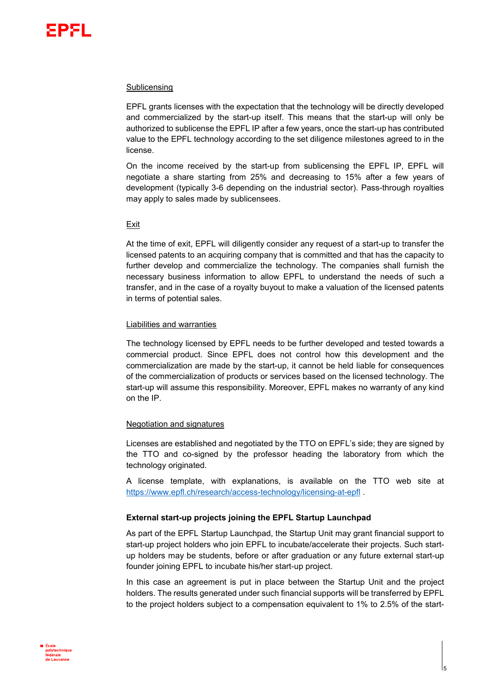

### Sublicensing

EPFL grants licenses with the expectation that the technology will be directly developed and commercialized by the start-up itself. This means that the start-up will only be authorized to sublicense the EPFL IP after a few years, once the start-up has contributed value to the EPFL technology according to the set diligence milestones agreed to in the license.

On the income received by the start-up from sublicensing the EPFL IP, EPFL will negotiate a share starting from 25% and decreasing to 15% after a few years of development (typically 3-6 depending on the industrial sector). Pass-through royalties may apply to sales made by sublicensees.

# Exit

At the time of exit, EPFL will diligently consider any request of a start-up to transfer the licensed patents to an acquiring company that is committed and that has the capacity to further develop and commercialize the technology. The companies shall furnish the necessary business information to allow EPFL to understand the needs of such a transfer, and in the case of a royalty buyout to make a valuation of the licensed patents in terms of potential sales.

### Liabilities and warranties

The technology licensed by EPFL needs to be further developed and tested towards a commercial product. Since EPFL does not control how this development and the commercialization are made by the start-up, it cannot be held liable for consequences of the commercialization of products or services based on the licensed technology. The start-up will assume this responsibility. Moreover, EPFL makes no warranty of any kind on the IP.

### Negotiation and signatures

Licenses are established and negotiated by the TTO on EPFL's side; they are signed by the TTO and co-signed by the professor heading the laboratory from which the technology originated.

A license template, with explanations, is available on the TTO web site at <https://www.epfl.ch/research/access-technology/licensing-at-epfl> .

# **External start-up projects joining the EPFL Startup Launchpad**

As part of the EPFL Startup Launchpad, the Startup Unit may grant financial support to start-up project holders who join EPFL to incubate/accelerate their projects. Such startup holders may be students, before or after graduation or any future external start-up founder joining EPFL to incubate his/her start-up project.

In this case an agreement is put in place between the Startup Unit and the project holders. The results generated under such financial supports will be transferred by EPFL to the project holders subject to a compensation equivalent to 1% to 2.5% of the start-

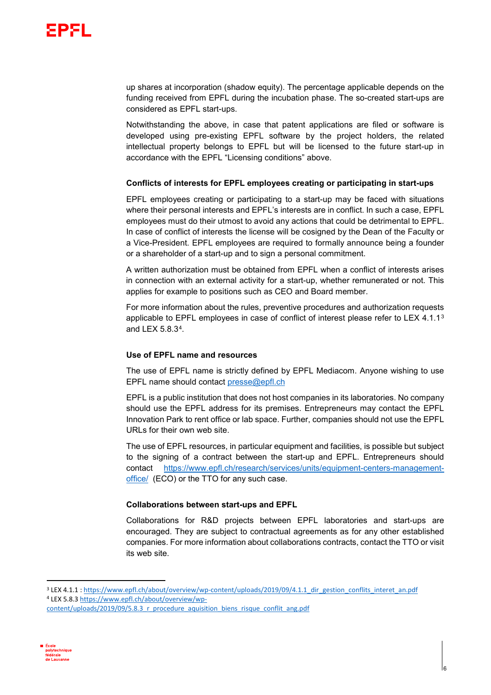

up shares at incorporation (shadow equity). The percentage applicable depends on the funding received from EPFL during the incubation phase. The so-created start-ups are considered as EPFL start-ups.

Notwithstanding the above, in case that patent applications are filed or software is developed using pre-existing EPFL software by the project holders, the related intellectual property belongs to EPFL but will be licensed to the future start-up in accordance with the EPFL "Licensing conditions" above.

# **Conflicts of interests for EPFL employees creating or participating in start-ups**

EPFL employees creating or participating to a start-up may be faced with situations where their personal interests and EPFL's interests are in conflict. In such a case, EPFL employees must do their utmost to avoid any actions that could be detrimental to EPFL. In case of conflict of interests the license will be cosigned by the Dean of the Faculty or a Vice-President. EPFL employees are required to formally announce being a founder or a shareholder of a start-up and to sign a personal commitment.

A written authorization must be obtained from EPFL when a conflict of interests arises in connection with an external activity for a start-up, whether remunerated or not. This applies for example to positions such as CEO and Board member.

For more information about the rules, preventive procedures and authorization requests applicable to EPFL employees in case of conflict of interest please refer to LEX 4.1.1 $3$ and LEX 5.8.3[4](#page-5-1).

# **Use of EPFL name and resources**

The use of EPFL name is strictly defined by EPFL Mediacom. Anyone wishing to use EPFL name should contact [presse@epfl.ch](mailto:presse@epfl.ch)

EPFL is a public institution that does not host companies in its laboratories. No company should use the EPFL address for its premises. Entrepreneurs may contact the EPFL Innovation Park to rent office or lab space. Further, companies should not use the EPFL URLs for their own web site.

The use of EPFL resources, in particular equipment and facilities, is possible but subject to the signing of a contract between the start-up and EPFL. Entrepreneurs should contact [https://www.epfl.ch/research/services/units/equipment-centers-management](https://www.epfl.ch/research/services/units/equipment-centers-management-office/)[office/](https://www.epfl.ch/research/services/units/equipment-centers-management-office/) (ECO) or the TTO for any such case.

# **Collaborations between start-ups and EPFL**

Collaborations for R&D projects between EPFL laboratories and start-ups are encouraged. They are subject to contractual agreements as for any other established companies. For more information about collaborations contracts, contact the TTO or visit its web site.

<span id="page-5-1"></span><span id="page-5-0"></span>[content/uploads/2019/09/5.8.3\\_r\\_procedure\\_aquisition\\_biens\\_risque\\_conflit\\_ang.pdf](https://www.epfl.ch/about/overview/wp-content/uploads/2019/09/5.8.3_r_procedure_aquisition_biens_risque_conflit_ang.pdf)



<sup>&</sup>lt;sup>3</sup> LEX 4.1.1 [: https://www.epfl.ch/about/overview/wp-content/uploads/2019/09/4.1.1\\_dir\\_gestion\\_conflits\\_interet\\_an.pdf](https://www.epfl.ch/about/overview/wp-content/uploads/2019/09/4.1.1_dir_gestion_conflits_interet_an.pdf) <sup>4</sup> LEX 5.8.3 [https://www.epfl.ch/about/overview/wp-](https://www.epfl.ch/about/overview/wp-content/uploads/2019/09/5.8.3_r_procedure_aquisition_biens_risque_conflit_ang.pdf)